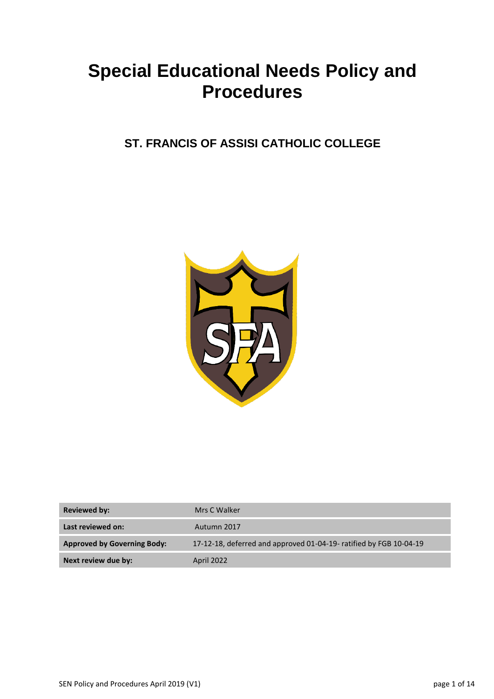# **Special Educational Needs Policy and Procedures**

# **ST. FRANCIS OF ASSISI CATHOLIC COLLEGE**



| <b>Reviewed by:</b>                | Mrs C Walker                                                       |
|------------------------------------|--------------------------------------------------------------------|
| Last reviewed on:                  | Autumn 2017                                                        |
| <b>Approved by Governing Body:</b> | 17-12-18, deferred and approved 01-04-19- ratified by FGB 10-04-19 |
| Next review due by:                | April 2022                                                         |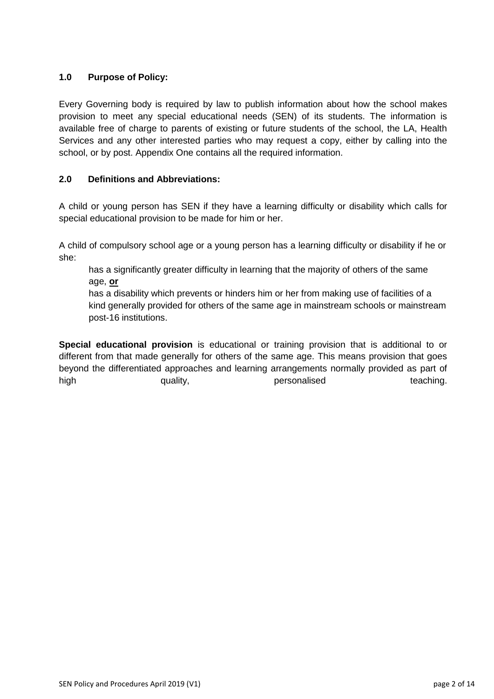## **1.0 Purpose of Policy:**

Every Governing body is required by law to publish information about how the school makes provision to meet any special educational needs (SEN) of its students. The information is available free of charge to parents of existing or future students of the school, the LA, Health Services and any other interested parties who may request a copy, either by calling into the school, or by post. Appendix One contains all the required information.

#### **2.0 Definitions and Abbreviations:**

A child or young person has SEN if they have a learning difficulty or disability which calls for special educational provision to be made for him or her.

A child of compulsory school age or a young person has a learning difficulty or disability if he or she:

has a significantly greater difficulty in learning that the majority of others of the same age, **or**

has a disability which prevents or hinders him or her from making use of facilities of a kind generally provided for others of the same age in mainstream schools or mainstream post-16 institutions.

**Special educational provision** is educational or training provision that is additional to or different from that made generally for others of the same age. This means provision that goes beyond the differentiated approaches and learning arrangements normally provided as part of high quality, personalised teaching.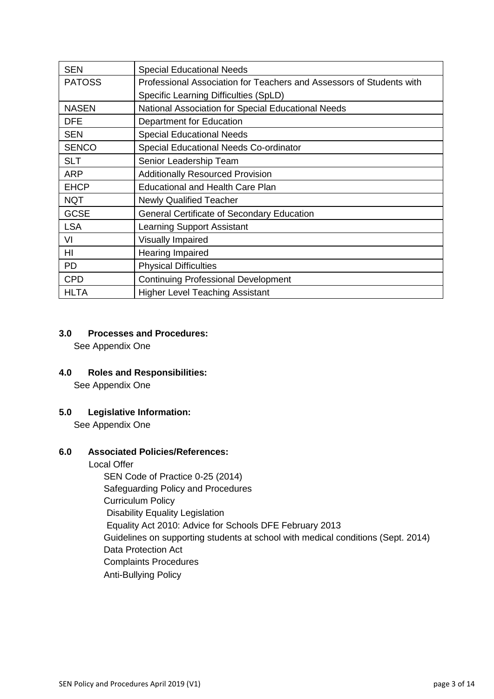| <b>SEN</b>    | <b>Special Educational Needs</b>                                     |
|---------------|----------------------------------------------------------------------|
| <b>PATOSS</b> | Professional Association for Teachers and Assessors of Students with |
|               | Specific Learning Difficulties (SpLD)                                |
| <b>NASEN</b>  | National Association for Special Educational Needs                   |
| <b>DFE</b>    | Department for Education                                             |
| <b>SEN</b>    | <b>Special Educational Needs</b>                                     |
| <b>SENCO</b>  | Special Educational Needs Co-ordinator                               |
| <b>SLT</b>    | Senior Leadership Team                                               |
| <b>ARP</b>    | <b>Additionally Resourced Provision</b>                              |
| <b>EHCP</b>   | <b>Educational and Health Care Plan</b>                              |
| <b>NQT</b>    | <b>Newly Qualified Teacher</b>                                       |
| <b>GCSE</b>   | <b>General Certificate of Secondary Education</b>                    |
| <b>LSA</b>    | <b>Learning Support Assistant</b>                                    |
| VI            | <b>Visually Impaired</b>                                             |
| HI            | Hearing Impaired                                                     |
| <b>PD</b>     | <b>Physical Difficulties</b>                                         |
| <b>CPD</b>    | <b>Continuing Professional Development</b>                           |
| HLTA          | <b>Higher Level Teaching Assistant</b>                               |

#### **3.0 Processes and Procedures:**

See Appendix One

**4.0 Roles and Responsibilities:**

See Appendix One

# **5.0 Legislative Information:**

See Appendix One

# **6.0 Associated Policies/References:**

Local Offer

SEN Code of Practice 0-25 (2014) Safeguarding Policy and Procedures Curriculum Policy Disability Equality Legislation Equality Act 2010: Advice for Schools DFE February 2013 Guidelines on supporting students at school with medical conditions (Sept. 2014) Data Protection Act Complaints Procedures Anti-Bullying Policy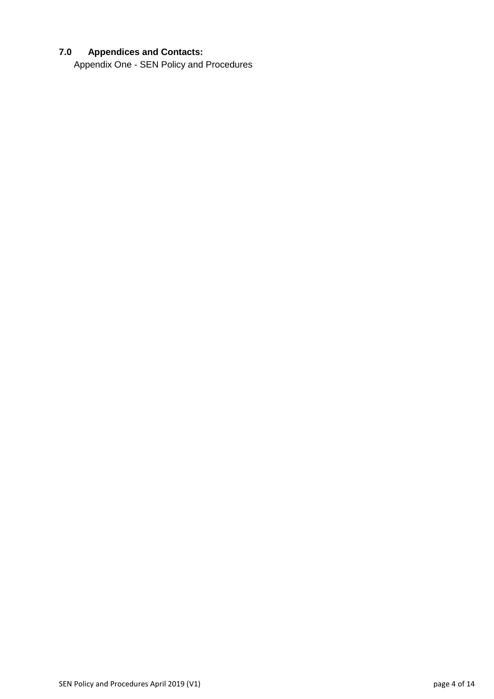# **7.0 Appendices and Contacts:**

Appendix One - SEN Policy and Procedures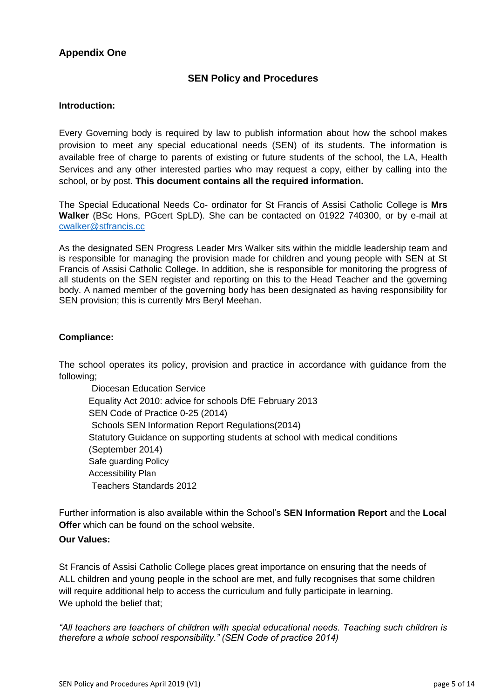# **Appendix One**

# **SEN Policy and Procedures**

#### **Introduction:**

Every Governing body is required by law to publish information about how the school makes provision to meet any special educational needs (SEN) of its students. The information is available free of charge to parents of existing or future students of the school, the LA, Health Services and any other interested parties who may request a copy, either by calling into the school, or by post. **This document contains all the required information.**

The Special Educational Needs Co- ordinator for St Francis of Assisi Catholic College is **Mrs Walker** (BSc Hons, PGcert SpLD). She can be contacted on 01922 740300, or by e-mail at [cwalker@stfrancis.cc](mailto:cwalker@stfrancis.cc)

As the designated SEN Progress Leader Mrs Walker sits within the middle leadership team and is responsible for managing the provision made for children and young people with SEN at St Francis of Assisi Catholic College. In addition, she is responsible for monitoring the progress of all students on the SEN register and reporting on this to the Head Teacher and the governing body. A named member of the governing body has been designated as having responsibility for SEN provision; this is currently Mrs Beryl Meehan.

#### **Compliance:**

The school operates its policy, provision and practice in accordance with guidance from the following;

 Diocesan Education Service Equality Act 2010: advice for schools DfE February 2013 SEN Code of Practice 0-25 (2014) Schools SEN Information Report Regulations(2014) Statutory Guidance on supporting students at school with medical conditions (September 2014) Safe guarding Policy Accessibility Plan Teachers Standards 2012

Further information is also available within the School's **SEN Information Report** and the **Local Offer** which can be found on the school website.

#### **Our Values:**

St Francis of Assisi Catholic College places great importance on ensuring that the needs of ALL children and young people in the school are met, and fully recognises that some children will require additional help to access the curriculum and fully participate in learning. We uphold the belief that:

*"All teachers are teachers of children with special educational needs. Teaching such children is therefore a whole school responsibility." (SEN Code of practice 2014)*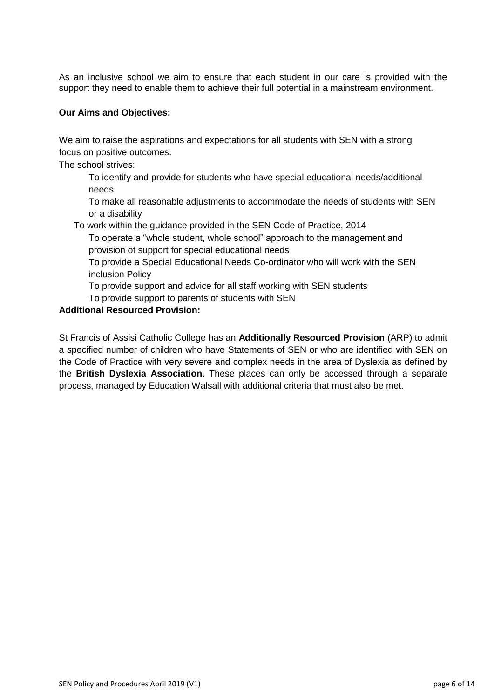As an inclusive school we aim to ensure that each student in our care is provided with the support they need to enable them to achieve their full potential in a mainstream environment.

#### **Our Aims and Objectives:**

We aim to raise the aspirations and expectations for all students with SEN with a strong focus on positive outcomes.

The school strives:

To identify and provide for students who have special educational needs/additional needs

To make all reasonable adjustments to accommodate the needs of students with SEN or a disability

To work within the guidance provided in the SEN Code of Practice, 2014

To operate a "whole student, whole school" approach to the management and provision of support for special educational needs

To provide a Special Educational Needs Co-ordinator who will work with the SEN inclusion Policy

To provide support and advice for all staff working with SEN students

To provide support to parents of students with SEN

#### **Additional Resourced Provision:**

St Francis of Assisi Catholic College has an **Additionally Resourced Provision** (ARP) to admit a specified number of children who have Statements of SEN or who are identified with SEN on the Code of Practice with very severe and complex needs in the area of Dyslexia as defined by the **British Dyslexia Association**. These places can only be accessed through a separate process, managed by Education Walsall with additional criteria that must also be met.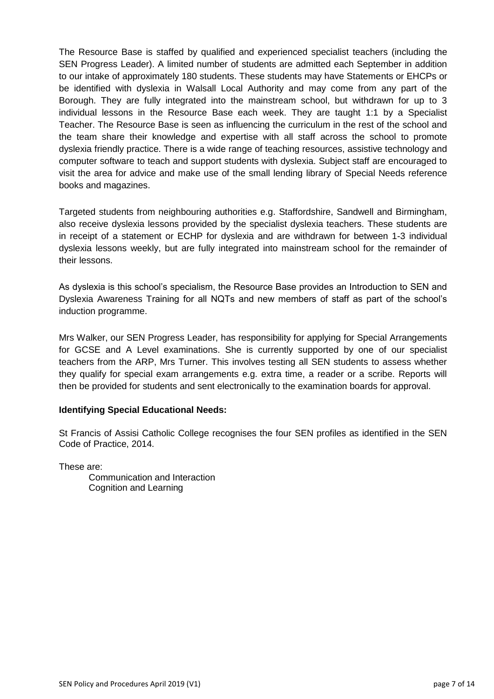The Resource Base is staffed by qualified and experienced specialist teachers (including the SEN Progress Leader). A limited number of students are admitted each September in addition to our intake of approximately 180 students. These students may have Statements or EHCPs or be identified with dyslexia in Walsall Local Authority and may come from any part of the Borough. They are fully integrated into the mainstream school, but withdrawn for up to 3 individual lessons in the Resource Base each week. They are taught 1:1 by a Specialist Teacher. The Resource Base is seen as influencing the curriculum in the rest of the school and the team share their knowledge and expertise with all staff across the school to promote dyslexia friendly practice. There is a wide range of teaching resources, assistive technology and computer software to teach and support students with dyslexia. Subject staff are encouraged to visit the area for advice and make use of the small lending library of Special Needs reference books and magazines.

Targeted students from neighbouring authorities e.g. Staffordshire, Sandwell and Birmingham, also receive dyslexia lessons provided by the specialist dyslexia teachers. These students are in receipt of a statement or ECHP for dyslexia and are withdrawn for between 1-3 individual dyslexia lessons weekly, but are fully integrated into mainstream school for the remainder of their lessons.

As dyslexia is this school's specialism, the Resource Base provides an Introduction to SEN and Dyslexia Awareness Training for all NQTs and new members of staff as part of the school's induction programme.

Mrs Walker, our SEN Progress Leader, has responsibility for applying for Special Arrangements for GCSE and A Level examinations. She is currently supported by one of our specialist teachers from the ARP, Mrs Turner. This involves testing all SEN students to assess whether they qualify for special exam arrangements e.g. extra time, a reader or a scribe. Reports will then be provided for students and sent electronically to the examination boards for approval.

#### **Identifying Special Educational Needs:**

St Francis of Assisi Catholic College recognises the four SEN profiles as identified in the SEN Code of Practice, 2014.

These are:

Communication and Interaction Cognition and Learning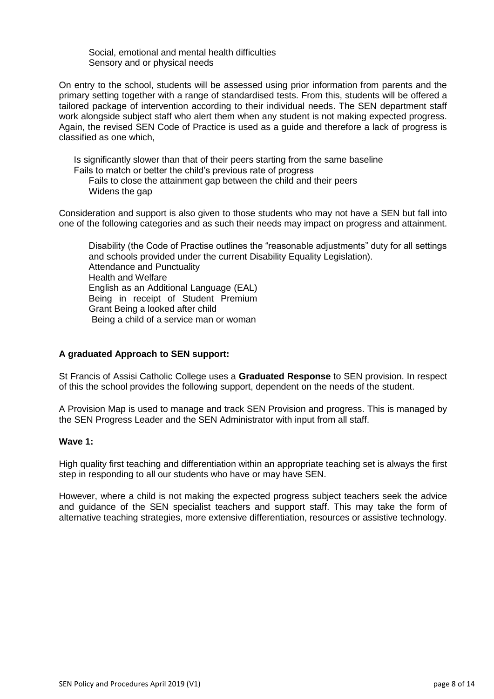Social, emotional and mental health difficulties Sensory and or physical needs

On entry to the school, students will be assessed using prior information from parents and the primary setting together with a range of standardised tests. From this, students will be offered a tailored package of intervention according to their individual needs. The SEN department staff work alongside subject staff who alert them when any student is not making expected progress. Again, the revised SEN Code of Practice is used as a guide and therefore a lack of progress is classified as one which,

Is significantly slower than that of their peers starting from the same baseline Fails to match or better the child's previous rate of progress Fails to close the attainment gap between the child and their peers Widens the gap

Consideration and support is also given to those students who may not have a SEN but fall into one of the following categories and as such their needs may impact on progress and attainment.

Disability (the Code of Practise outlines the "reasonable adjustments" duty for all settings and schools provided under the current Disability Equality Legislation). Attendance and Punctuality Health and Welfare English as an Additional Language (EAL) Being in receipt of Student Premium Grant Being a looked after child Being a child of a service man or woman

#### **A graduated Approach to SEN support:**

St Francis of Assisi Catholic College uses a **Graduated Response** to SEN provision. In respect of this the school provides the following support, dependent on the needs of the student.

A Provision Map is used to manage and track SEN Provision and progress. This is managed by the SEN Progress Leader and the SEN Administrator with input from all staff.

#### **Wave 1:**

High quality first teaching and differentiation within an appropriate teaching set is always the first step in responding to all our students who have or may have SEN.

However, where a child is not making the expected progress subject teachers seek the advice and guidance of the SEN specialist teachers and support staff. This may take the form of alternative teaching strategies, more extensive differentiation, resources or assistive technology.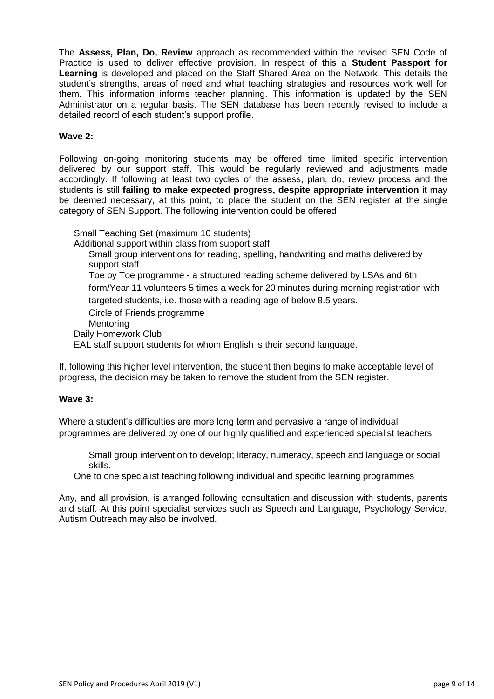The **Assess, Plan, Do, Review** approach as recommended within the revised SEN Code of Practice is used to deliver effective provision. In respect of this a **Student Passport for Learning** is developed and placed on the Staff Shared Area on the Network. This details the student's strengths, areas of need and what teaching strategies and resources work well for them. This information informs teacher planning. This information is updated by the SEN Administrator on a regular basis. The SEN database has been recently revised to include a detailed record of each student's support profile.

#### **Wave 2:**

Following on-going monitoring students may be offered time limited specific intervention delivered by our support staff. This would be regularly reviewed and adjustments made accordingly. If following at least two cycles of the assess, plan, do, review process and the students is still **failing to make expected progress, despite appropriate intervention** it may be deemed necessary, at this point, to place the student on the SEN register at the single category of SEN Support. The following intervention could be offered

Small Teaching Set (maximum 10 students) Additional support within class from support staff Small group interventions for reading, spelling, handwriting and maths delivered by support staff Toe by Toe programme - a structured reading scheme delivered by LSAs and 6th form/Year 11 volunteers 5 times a week for 20 minutes during morning registration with targeted students, i.e. those with a reading age of below 8.5 years. Circle of Friends programme **Mentoring** Daily Homework Club EAL staff support students for whom English is their second language.

If, following this higher level intervention, the student then begins to make acceptable level of progress, the decision may be taken to remove the student from the SEN register.

#### **Wave 3:**

Where a student's difficulties are more long term and pervasive a range of individual programmes are delivered by one of our highly qualified and experienced specialist teachers

Small group intervention to develop; literacy, numeracy, speech and language or social skills.

One to one specialist teaching following individual and specific learning programmes

Any, and all provision, is arranged following consultation and discussion with students, parents and staff. At this point specialist services such as Speech and Language, Psychology Service, Autism Outreach may also be involved.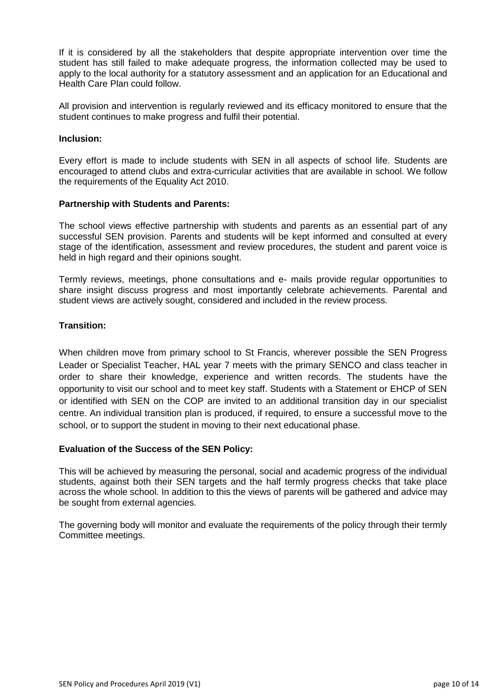If it is considered by all the stakeholders that despite appropriate intervention over time the student has still failed to make adequate progress, the information collected may be used to apply to the local authority for a statutory assessment and an application for an Educational and Health Care Plan could follow.

All provision and intervention is regularly reviewed and its efficacy monitored to ensure that the student continues to make progress and fulfil their potential.

#### **Inclusion:**

Every effort is made to include students with SEN in all aspects of school life. Students are encouraged to attend clubs and extra-curricular activities that are available in school. We follow the requirements of the Equality Act 2010.

#### **Partnership with Students and Parents:**

The school views effective partnership with students and parents as an essential part of any successful SEN provision. Parents and students will be kept informed and consulted at every stage of the identification, assessment and review procedures, the student and parent voice is held in high regard and their opinions sought.

Termly reviews, meetings, phone consultations and e- mails provide regular opportunities to share insight discuss progress and most importantly celebrate achievements. Parental and student views are actively sought, considered and included in the review process.

#### **Transition:**

When children move from primary school to St Francis, wherever possible the SEN Progress Leader or Specialist Teacher, HAL year 7 meets with the primary SENCO and class teacher in order to share their knowledge, experience and written records. The students have the opportunity to visit our school and to meet key staff. Students with a Statement or EHCP of SEN or identified with SEN on the COP are invited to an additional transition day in our specialist centre. An individual transition plan is produced, if required, to ensure a successful move to the school, or to support the student in moving to their next educational phase.

#### **Evaluation of the Success of the SEN Policy:**

This will be achieved by measuring the personal, social and academic progress of the individual students, against both their SEN targets and the half termly progress checks that take place across the whole school. In addition to this the views of parents will be gathered and advice may be sought from external agencies.

The governing body will monitor and evaluate the requirements of the policy through their termly Committee meetings.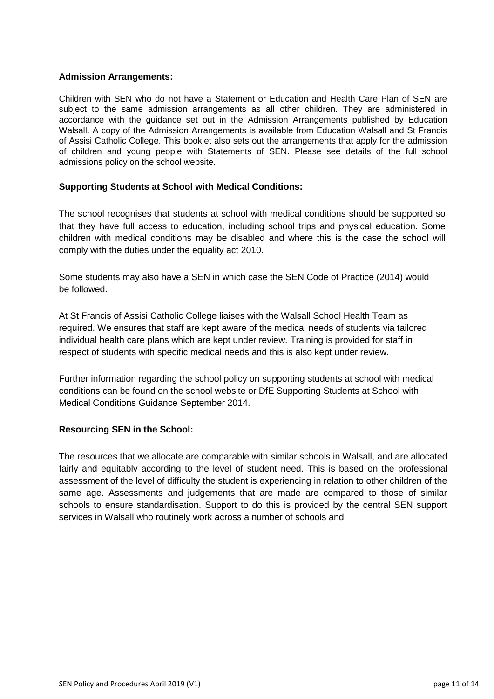#### **Admission Arrangements:**

Children with SEN who do not have a Statement or Education and Health Care Plan of SEN are subject to the same admission arrangements as all other children. They are administered in accordance with the guidance set out in the Admission Arrangements published by Education Walsall. A copy of the Admission Arrangements is available from Education Walsall and St Francis of Assisi Catholic College. This booklet also sets out the arrangements that apply for the admission of children and young people with Statements of SEN. Please see details of the full school admissions policy on the school website.

#### **Supporting Students at School with Medical Conditions:**

The school recognises that students at school with medical conditions should be supported so that they have full access to education, including school trips and physical education. Some children with medical conditions may be disabled and where this is the case the school will comply with the duties under the equality act 2010.

Some students may also have a SEN in which case the SEN Code of Practice (2014) would be followed.

At St Francis of Assisi Catholic College liaises with the Walsall School Health Team as required. We ensures that staff are kept aware of the medical needs of students via tailored individual health care plans which are kept under review. Training is provided for staff in respect of students with specific medical needs and this is also kept under review.

Further information regarding the school policy on supporting students at school with medical conditions can be found on the school website or DfE Supporting Students at School with Medical Conditions Guidance September 2014.

#### **Resourcing SEN in the School:**

The resources that we allocate are comparable with similar schools in Walsall, and are allocated fairly and equitably according to the level of student need. This is based on the professional assessment of the level of difficulty the student is experiencing in relation to other children of the same age. Assessments and judgements that are made are compared to those of similar schools to ensure standardisation. Support to do this is provided by the central SEN support services in Walsall who routinely work across a number of schools and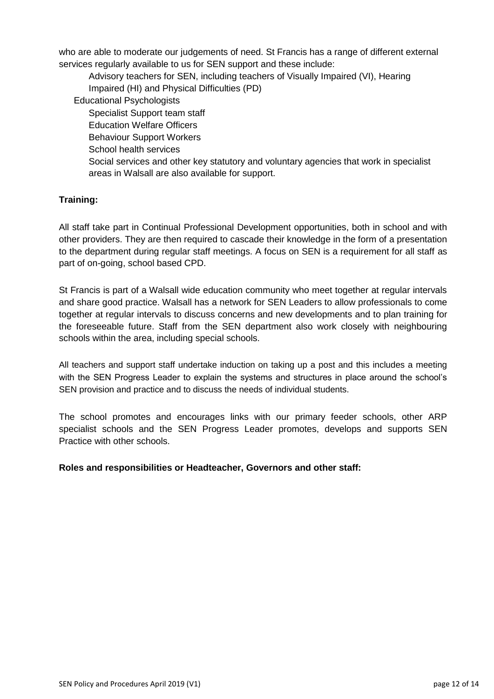who are able to moderate our judgements of need. St Francis has a range of different external services regularly available to us for SEN support and these include:

Advisory teachers for SEN, including teachers of Visually Impaired (VI), Hearing Impaired (HI) and Physical Difficulties (PD) Educational Psychologists Specialist Support team staff Education Welfare Officers Behaviour Support Workers School health services Social services and other key statutory and voluntary agencies that work in specialist areas in Walsall are also available for support.

# **Training:**

All staff take part in Continual Professional Development opportunities, both in school and with other providers. They are then required to cascade their knowledge in the form of a presentation to the department during regular staff meetings. A focus on SEN is a requirement for all staff as part of on-going, school based CPD.

St Francis is part of a Walsall wide education community who meet together at regular intervals and share good practice. Walsall has a network for SEN Leaders to allow professionals to come together at regular intervals to discuss concerns and new developments and to plan training for the foreseeable future. Staff from the SEN department also work closely with neighbouring schools within the area, including special schools.

All teachers and support staff undertake induction on taking up a post and this includes a meeting with the SEN Progress Leader to explain the systems and structures in place around the school's SEN provision and practice and to discuss the needs of individual students.

The school promotes and encourages links with our primary feeder schools, other ARP specialist schools and the SEN Progress Leader promotes, develops and supports SEN Practice with other schools.

# **Roles and responsibilities or Headteacher, Governors and other staff:**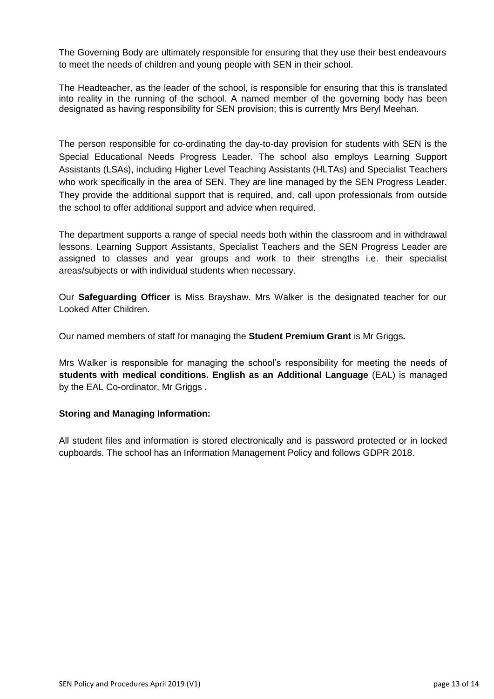The Governing Body are ultimately responsible for ensuring that they use their best endeavours to meet the needs of children and young people with SEN in their school.

The Headteacher, as the leader of the school, is responsible for ensuring that this is translated into reality in the running of the school. A named member of the governing body has been designated as having responsibility for SEN provision; this is currently Mrs Beryl Meehan.

The person responsible for co-ordinating the day-to-day provision for students with SEN is the Special Educational Needs Progress Leader. The school also employs Learning Support Assistants (LSAs), including Higher Level Teaching Assistants (HLTAs) and Specialist Teachers who work specifically in the area of SEN. They are line managed by the SEN Progress Leader. They provide the additional support that is required, and, call upon professionals from outside the school to offer additional support and advice when required.

The department supports a range of special needs both within the classroom and in withdrawal lessons. Learning Support Assistants, Specialist Teachers and the SEN Progress Leader are assigned to classes and year groups and work to their strengths i.e. their specialist areas/subjects or with individual students when necessary.

Our **Safeguarding Officer** is Miss Brayshaw. Mrs Walker is the designated teacher for our Looked After Children.

Our named members of staff for managing the **Student Premium Grant** is Mr Griggs**.**

Mrs Walker is responsible for managing the school's responsibility for meeting the needs of **students with medical conditions. English as an Additional Language** (EAL) is managed by the EAL Co-ordinator, Mr Griggs .

#### **Storing and Managing Information:**

All student files and information is stored electronically and is password protected or in locked cupboards. The school has an Information Management Policy and follows GDPR 2018.